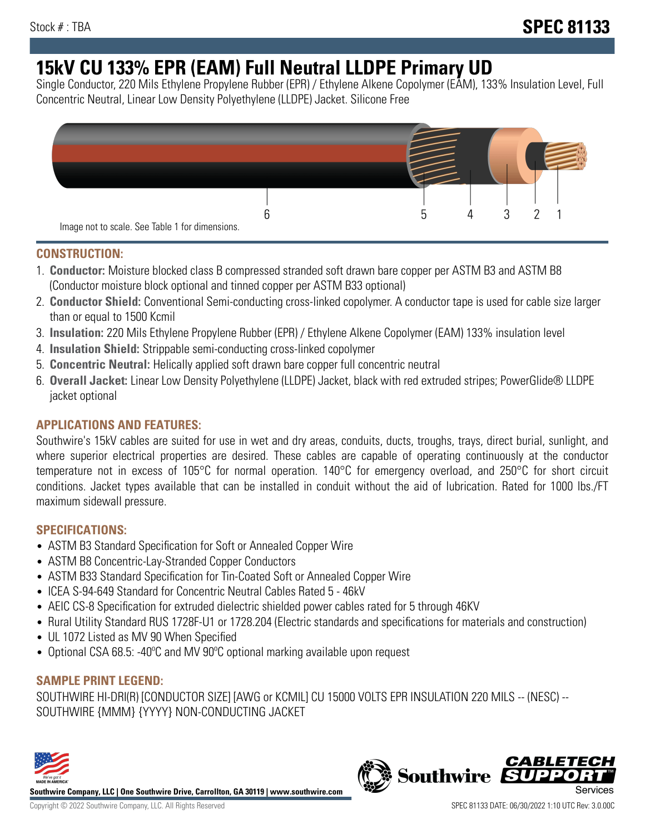# **15kV CU 133% EPR (EAM) Full Neutral LLDPE Primary UD**

Single Conductor, 220 Mils Ethylene Propylene Rubber (EPR) / Ethylene Alkene Copolymer (EAM), 133% Insulation Level, Full Concentric Neutral, Linear Low Density Polyethylene (LLDPE) Jacket. Silicone Free



## **CONSTRUCTION:**

- 1. **Conductor:** Moisture blocked class B compressed stranded soft drawn bare copper per ASTM B3 and ASTM B8 (Conductor moisture block optional and tinned copper per ASTM B33 optional)
- 2. **Conductor Shield:** Conventional Semi-conducting cross-linked copolymer. A conductor tape is used for cable size larger than or equal to 1500 Kcmil
- 3. **Insulation:** 220 Mils Ethylene Propylene Rubber (EPR) / Ethylene Alkene Copolymer (EAM) 133% insulation level
- 4. **Insulation Shield:** Strippable semi-conducting cross-linked copolymer
- 5. **Concentric Neutral:** Helically applied soft drawn bare copper full concentric neutral
- 6. **Overall Jacket:** Linear Low Density Polyethylene (LLDPE) Jacket, black with red extruded stripes; PowerGlide® LLDPE jacket optional

## **APPLICATIONS AND FEATURES:**

Southwire's 15kV cables are suited for use in wet and dry areas, conduits, ducts, troughs, trays, direct burial, sunlight, and where superior electrical properties are desired. These cables are capable of operating continuously at the conductor temperature not in excess of 105°C for normal operation. 140°C for emergency overload, and 250°C for short circuit conditions. Jacket types available that can be installed in conduit without the aid of lubrication. Rated for 1000 lbs./FT maximum sidewall pressure.

## **SPECIFICATIONS:**

- ASTM B3 Standard Specification for Soft or Annealed Copper Wire
- ASTM B8 Concentric-Lay-Stranded Copper Conductors
- ASTM B33 Standard Specification for Tin-Coated Soft or Annealed Copper Wire
- ICEA S-94-649 Standard for Concentric Neutral Cables Rated 5 46kV
- AEIC CS-8 Specification for extruded dielectric shielded power cables rated for 5 through 46KV
- Rural Utility Standard RUS 1728F-U1 or 1728.204 (Electric standards and specifications for materials and construction)
- UL 1072 Listed as MV 90 When Specified
- Optional CSA 68.5: -40ºC and MV 90ºC optional marking available upon request

## **SAMPLE PRINT LEGEND:**

SOUTHWIRE HI-DRI(R) [CONDUCTOR SIZE] [AWG or KCMIL] CU 15000 VOLTS EPR INSULATION 220 MILS -- (NESC) -- SOUTHWIRE {MMM} {YYYY} NON-CONDUCTING JACKET



**Southwire Company, LLC | One Southwire Drive, Carrollton, GA 30119 | www.southwire.com**